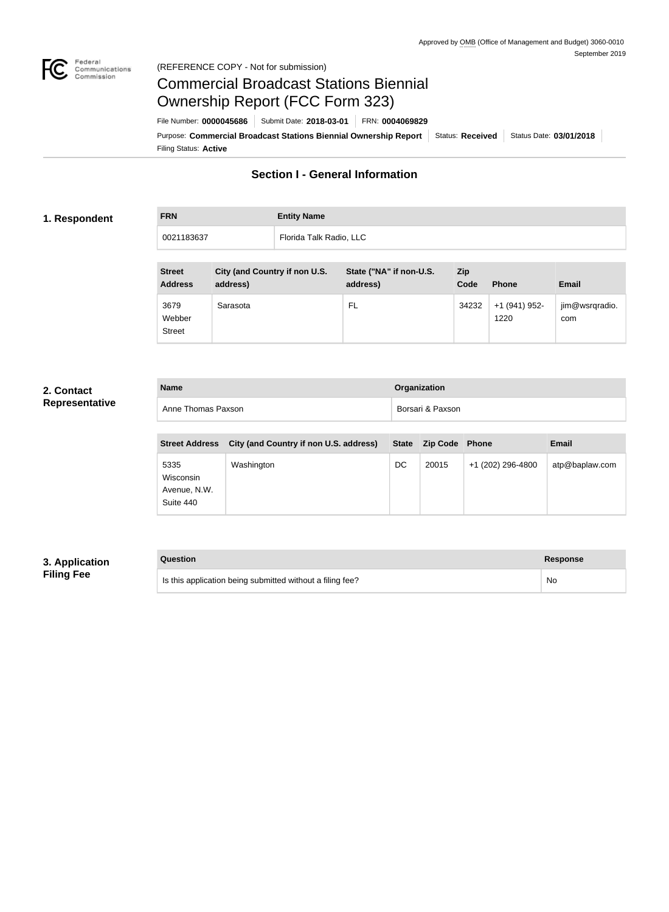

## Federal<br>Communications<br>Commission (REFERENCE COPY - Not for submission)

# Commercial Broadcast Stations Biennial Ownership Report (FCC Form 323)

Filing Status: **Active** Purpose: Commercial Broadcast Stations Biennial Ownership Report Status: Received Status Date: 03/01/2018 File Number: **0000045686** Submit Date: **2018-03-01** FRN: **0004069829**

# **Section I - General Information**

#### **1. Respondent**

| <b>FRN</b> | <b>Entity Name</b>      |
|------------|-------------------------|
| 0021183637 | Florida Talk Radio, LLC |

| <b>Street</b><br><b>Address</b> | City (and Country if non U.S.<br>address) | State ("NA" if non-U.S.<br>address) | <b>Zip</b><br>Code | <b>Phone</b>          | <b>Email</b>          |
|---------------------------------|-------------------------------------------|-------------------------------------|--------------------|-----------------------|-----------------------|
| 3679<br>Webber<br><b>Street</b> | Sarasota                                  | FL                                  | 34232              | +1 (941) 952-<br>1220 | jim@wsrqradio.<br>com |

## **2. Contact Representative**

| <b>Name</b>        | Organization     |
|--------------------|------------------|
| Anne Thomas Paxson | Borsari & Paxson |

| <b>Street Address</b>                          | City (and Country if non U.S. address) |    | State Zip Code Phone |                   | <b>Email</b>   |
|------------------------------------------------|----------------------------------------|----|----------------------|-------------------|----------------|
| 5335<br>Wisconsin<br>Avenue, N.W.<br>Suite 440 | Washington                             | DC | 20015                | +1 (202) 296-4800 | atp@baplaw.com |

## **3. Application Filing Fee**

| Question                                                  | Response |
|-----------------------------------------------------------|----------|
| Is this application being submitted without a filing fee? | No       |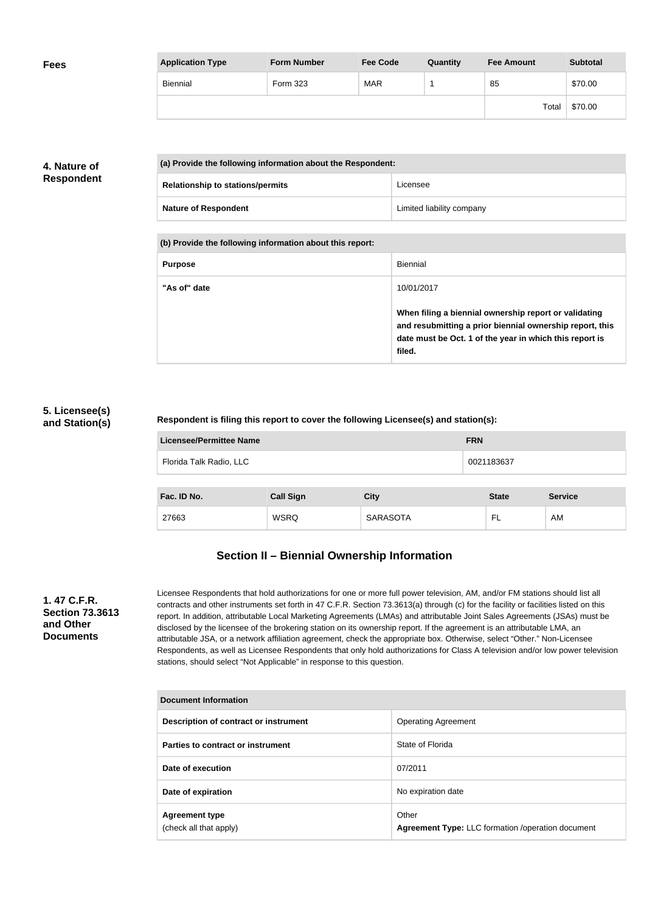| <b>Fees</b> | <b>Application Type</b> | <b>Form Number</b> | <b>Fee Code</b> | Quantity | <b>Fee Amount</b> | <b>Subtotal</b> |
|-------------|-------------------------|--------------------|-----------------|----------|-------------------|-----------------|
|             | Biennial                | Form 323           | <b>MAR</b>      |          | 85                | \$70.00         |
|             |                         |                    |                 |          | Total             | \$70.00         |

## **4. Nature of Respondent**

| (a) Provide the following information about the Respondent: |                                         |                           |
|-------------------------------------------------------------|-----------------------------------------|---------------------------|
|                                                             | <b>Relationship to stations/permits</b> | Licensee                  |
|                                                             | <b>Nature of Respondent</b>             | Limited liability company |

**(b) Provide the following information about this report:**

| <b>Purpose</b> | Biennial                                                                                                                                                                               |
|----------------|----------------------------------------------------------------------------------------------------------------------------------------------------------------------------------------|
| "As of" date   | 10/01/2017                                                                                                                                                                             |
|                | When filing a biennial ownership report or validating<br>and resubmitting a prior biennial ownership report, this<br>date must be Oct. 1 of the year in which this report is<br>filed. |

## **5. Licensee(s) and Station(s)**

## **Respondent is filing this report to cover the following Licensee(s) and station(s):**

| <b>Licensee/Permittee Name</b> | <b>FRN</b> |
|--------------------------------|------------|
| Florida Talk Radio, LLC        | 0021183637 |
|                                |            |

| Fac. ID No. | <b>Call Sign</b> | <b>City</b>     | <b>State</b> | <b>Service</b> |
|-------------|------------------|-----------------|--------------|----------------|
| 27663       | <b>WSRQ</b>      | <b>SARASOTA</b> | -            | AM             |

# **Section II – Biennial Ownership Information**

## **1. 47 C.F.R. Section 73.3613 and Other Documents**

Licensee Respondents that hold authorizations for one or more full power television, AM, and/or FM stations should list all contracts and other instruments set forth in 47 C.F.R. Section 73.3613(a) through (c) for the facility or facilities listed on this report. In addition, attributable Local Marketing Agreements (LMAs) and attributable Joint Sales Agreements (JSAs) must be disclosed by the licensee of the brokering station on its ownership report. If the agreement is an attributable LMA, an attributable JSA, or a network affiliation agreement, check the appropriate box. Otherwise, select "Other." Non-Licensee Respondents, as well as Licensee Respondents that only hold authorizations for Class A television and/or low power television stations, should select "Not Applicable" in response to this question.

| <b>Document Information</b>                     |                                                                   |  |  |
|-------------------------------------------------|-------------------------------------------------------------------|--|--|
| Description of contract or instrument           | <b>Operating Agreement</b>                                        |  |  |
| Parties to contract or instrument               | State of Florida                                                  |  |  |
| Date of execution                               | 07/2011                                                           |  |  |
| Date of expiration                              | No expiration date                                                |  |  |
| <b>Agreement type</b><br>(check all that apply) | Other<br><b>Agreement Type: LLC formation /operation document</b> |  |  |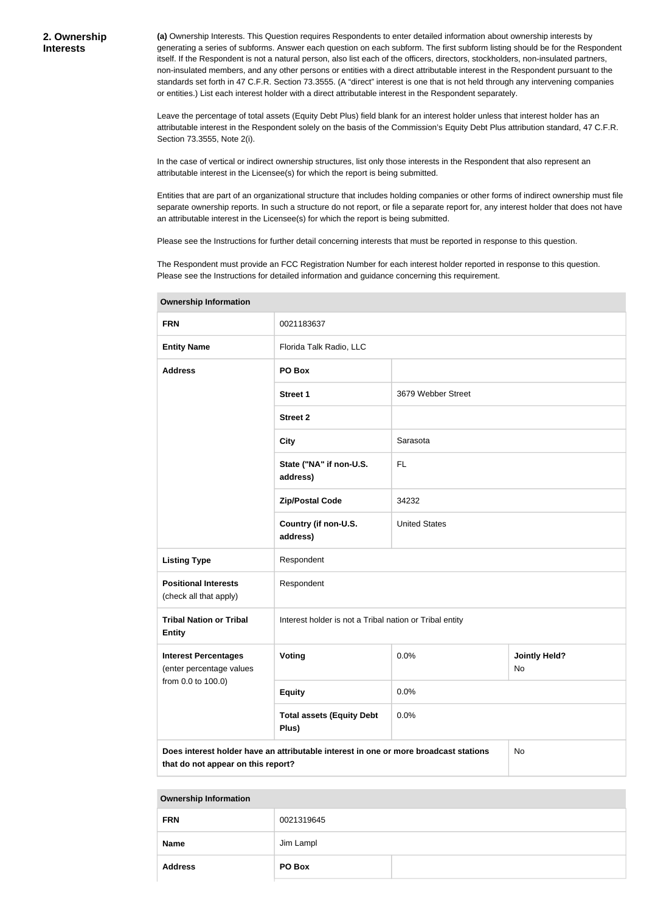**(a)** Ownership Interests. This Question requires Respondents to enter detailed information about ownership interests by generating a series of subforms. Answer each question on each subform. The first subform listing should be for the Respondent itself. If the Respondent is not a natural person, also list each of the officers, directors, stockholders, non-insulated partners, non-insulated members, and any other persons or entities with a direct attributable interest in the Respondent pursuant to the standards set forth in 47 C.F.R. Section 73.3555. (A "direct" interest is one that is not held through any intervening companies or entities.) List each interest holder with a direct attributable interest in the Respondent separately.

Leave the percentage of total assets (Equity Debt Plus) field blank for an interest holder unless that interest holder has an attributable interest in the Respondent solely on the basis of the Commission's Equity Debt Plus attribution standard, 47 C.F.R. Section 73.3555, Note 2(i).

In the case of vertical or indirect ownership structures, list only those interests in the Respondent that also represent an attributable interest in the Licensee(s) for which the report is being submitted.

Entities that are part of an organizational structure that includes holding companies or other forms of indirect ownership must file separate ownership reports. In such a structure do not report, or file a separate report for, any interest holder that does not have an attributable interest in the Licensee(s) for which the report is being submitted.

Please see the Instructions for further detail concerning interests that must be reported in response to this question.

The Respondent must provide an FCC Registration Number for each interest holder reported in response to this question. Please see the Instructions for detailed information and guidance concerning this requirement.

| <u>,,,,,,,,,,,,,,,,,,,,,,,,,,,,</u>                                                                                              |                                                         |                      |  |  |
|----------------------------------------------------------------------------------------------------------------------------------|---------------------------------------------------------|----------------------|--|--|
| <b>FRN</b>                                                                                                                       | 0021183637                                              |                      |  |  |
| <b>Entity Name</b>                                                                                                               | Florida Talk Radio, LLC                                 |                      |  |  |
| <b>Address</b>                                                                                                                   | PO Box                                                  |                      |  |  |
|                                                                                                                                  | Street 1                                                | 3679 Webber Street   |  |  |
|                                                                                                                                  | <b>Street 2</b>                                         |                      |  |  |
|                                                                                                                                  | <b>City</b>                                             | Sarasota             |  |  |
|                                                                                                                                  | State ("NA" if non-U.S.<br>address)                     | FL.                  |  |  |
|                                                                                                                                  | <b>Zip/Postal Code</b>                                  | 34232                |  |  |
|                                                                                                                                  | Country (if non-U.S.<br>address)                        | <b>United States</b> |  |  |
| <b>Listing Type</b>                                                                                                              | Respondent                                              |                      |  |  |
| <b>Positional Interests</b><br>(check all that apply)                                                                            | Respondent                                              |                      |  |  |
| <b>Tribal Nation or Tribal</b><br><b>Entity</b>                                                                                  | Interest holder is not a Tribal nation or Tribal entity |                      |  |  |
| <b>Interest Percentages</b><br>(enter percentage values                                                                          | Voting<br><b>Jointly Held?</b><br>0.0%<br>No            |                      |  |  |
| from 0.0 to 100.0)                                                                                                               | <b>Equity</b>                                           | 0.0%                 |  |  |
| <b>Total assets (Equity Debt</b><br>0.0%<br>Plus)                                                                                |                                                         |                      |  |  |
| Does interest holder have an attributable interest in one or more broadcast stations<br>No<br>that do not appear on this report? |                                                         |                      |  |  |

**Ownership Information**

| <b>FRN</b>     | 0021319645 |  |
|----------------|------------|--|
| Name           | Jim Lampl  |  |
| <b>Address</b> | PO Box     |  |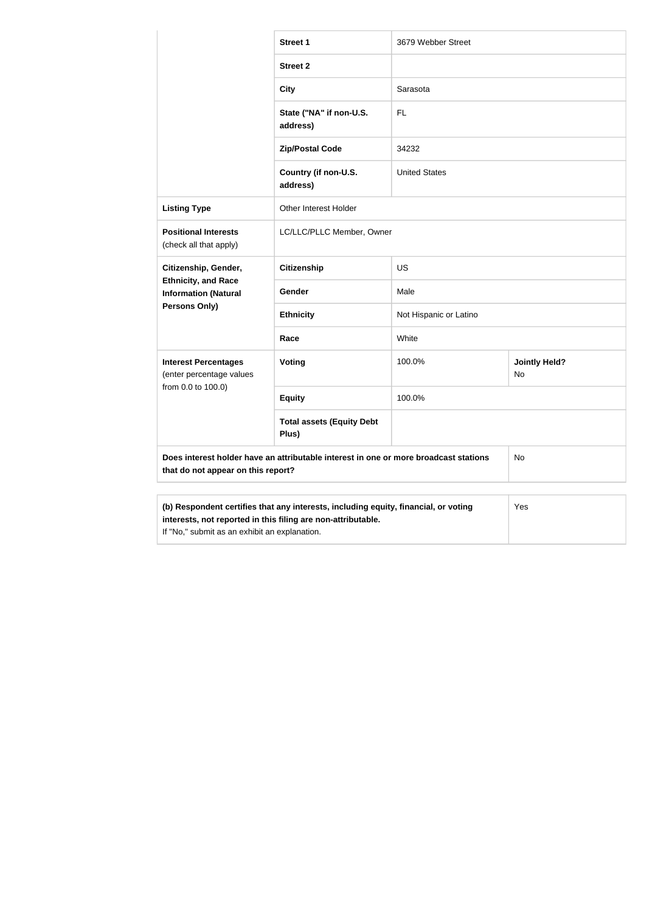|                                                                                                                                                                                                      | <b>Street 1</b>                           | 3679 Webber Street     |                            |
|------------------------------------------------------------------------------------------------------------------------------------------------------------------------------------------------------|-------------------------------------------|------------------------|----------------------------|
|                                                                                                                                                                                                      | <b>Street 2</b>                           |                        |                            |
|                                                                                                                                                                                                      | <b>City</b>                               | Sarasota               |                            |
|                                                                                                                                                                                                      | State ("NA" if non-U.S.<br>address)       | <b>FL</b>              |                            |
|                                                                                                                                                                                                      | <b>Zip/Postal Code</b>                    | 34232                  |                            |
|                                                                                                                                                                                                      | Country (if non-U.S.<br>address)          | <b>United States</b>   |                            |
| <b>Listing Type</b>                                                                                                                                                                                  | <b>Other Interest Holder</b>              |                        |                            |
| <b>Positional Interests</b><br>(check all that apply)                                                                                                                                                | LC/LLC/PLLC Member, Owner                 |                        |                            |
| Citizenship, Gender,<br><b>Ethnicity, and Race</b><br><b>Information (Natural</b><br>Persons Only)                                                                                                   | <b>Citizenship</b>                        | <b>US</b>              |                            |
|                                                                                                                                                                                                      | Gender                                    | Male                   |                            |
|                                                                                                                                                                                                      | <b>Ethnicity</b>                          | Not Hispanic or Latino |                            |
|                                                                                                                                                                                                      | Race                                      | White                  |                            |
| <b>Interest Percentages</b><br>(enter percentage values<br>from 0.0 to 100.0)                                                                                                                        | Voting                                    | 100.0%                 | <b>Jointly Held?</b><br>No |
|                                                                                                                                                                                                      | <b>Equity</b>                             | 100.0%                 |                            |
|                                                                                                                                                                                                      | <b>Total assets (Equity Debt</b><br>Plus) |                        |                            |
| Does interest holder have an attributable interest in one or more broadcast stations<br>that do not appear on this report?                                                                           |                                           |                        | No                         |
| (b) Respondent certifies that any interests, including equity, financial, or voting<br>interests, not reported in this filing are non-attributable.<br>If "No," submit as an exhibit an explanation. |                                           |                        | Yes                        |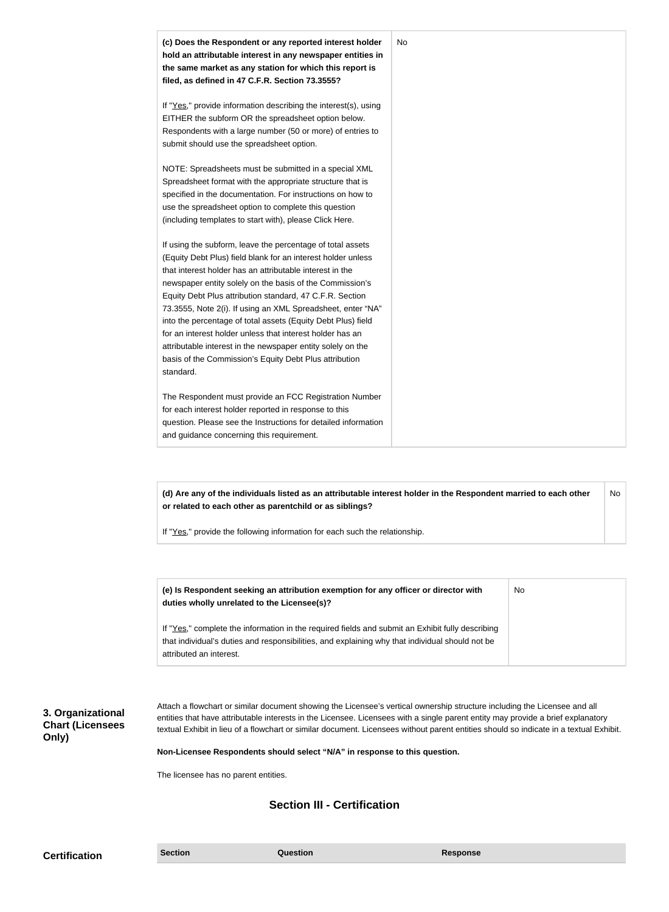| (c) Does the Respondent or any reported interest holder<br>hold an attributable interest in any newspaper entities in<br>the same market as any station for which this report is<br>filed, as defined in 47 C.F.R. Section 73.3555?                                                                                                                                                                                                                                                                                                                                                                                                              | No |
|--------------------------------------------------------------------------------------------------------------------------------------------------------------------------------------------------------------------------------------------------------------------------------------------------------------------------------------------------------------------------------------------------------------------------------------------------------------------------------------------------------------------------------------------------------------------------------------------------------------------------------------------------|----|
| If "Yes," provide information describing the interest(s), using<br>EITHER the subform OR the spreadsheet option below.<br>Respondents with a large number (50 or more) of entries to<br>submit should use the spreadsheet option.                                                                                                                                                                                                                                                                                                                                                                                                                |    |
| NOTE: Spreadsheets must be submitted in a special XML<br>Spreadsheet format with the appropriate structure that is<br>specified in the documentation. For instructions on how to<br>use the spreadsheet option to complete this question<br>(including templates to start with), please Click Here.                                                                                                                                                                                                                                                                                                                                              |    |
| If using the subform, leave the percentage of total assets<br>(Equity Debt Plus) field blank for an interest holder unless<br>that interest holder has an attributable interest in the<br>newspaper entity solely on the basis of the Commission's<br>Equity Debt Plus attribution standard, 47 C.F.R. Section<br>73.3555, Note 2(i). If using an XML Spreadsheet, enter "NA"<br>into the percentage of total assets (Equity Debt Plus) field<br>for an interest holder unless that interest holder has an<br>attributable interest in the newspaper entity solely on the<br>basis of the Commission's Equity Debt Plus attribution<br>standard. |    |
| The Respondent must provide an FCC Registration Number<br>for each interest holder reported in response to this<br>question. Please see the Instructions for detailed information<br>and guidance concerning this requirement.                                                                                                                                                                                                                                                                                                                                                                                                                   |    |

**(d) Are any of the individuals listed as an attributable interest holder in the Respondent married to each other or related to each other as parentchild or as siblings?** No

If "Yes," provide the following information for each such the relationship.

| (e) Is Respondent seeking an attribution exemption for any officer or director with<br>duties wholly unrelated to the Licensee(s)?                                                                  | No |
|-----------------------------------------------------------------------------------------------------------------------------------------------------------------------------------------------------|----|
| If "Yes," complete the information in the required fields and submit an Exhibit fully describing<br>that individual's duties and responsibilities, and explaining why that individual should not be |    |
| attributed an interest.                                                                                                                                                                             |    |

**3. Organizational Chart (Licensees Only)**

Attach a flowchart or similar document showing the Licensee's vertical ownership structure including the Licensee and all entities that have attributable interests in the Licensee. Licensees with a single parent entity may provide a brief explanatory textual Exhibit in lieu of a flowchart or similar document. Licensees without parent entities should so indicate in a textual Exhibit.

**Non-Licensee Respondents should select "N/A" in response to this question.**

The licensee has no parent entities.

## **Section III - Certification**